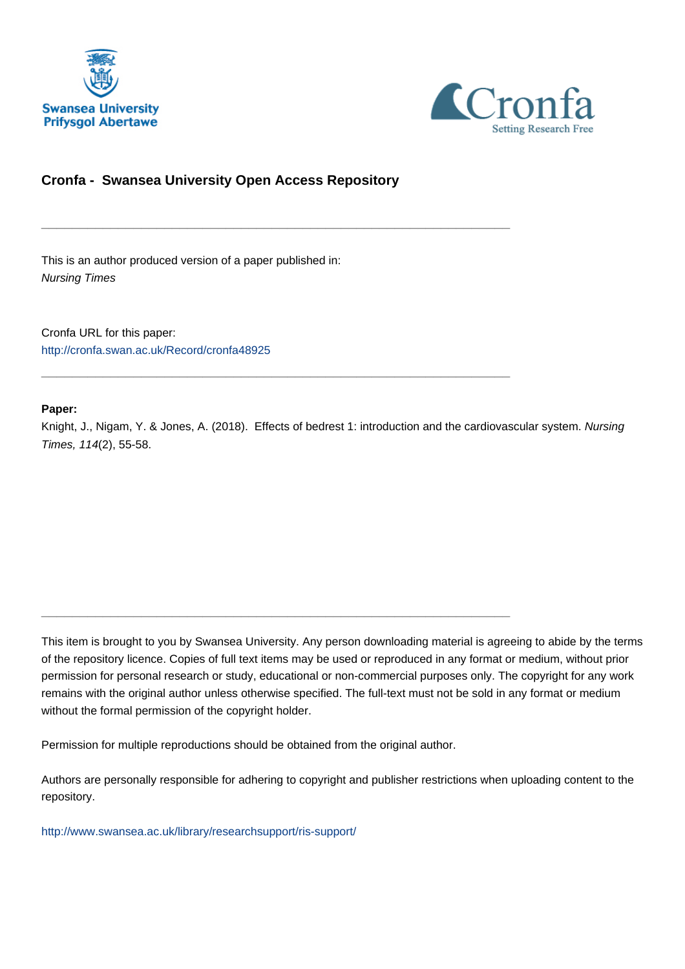



## **Cronfa - Swansea University Open Access Repository**

\_\_\_\_\_\_\_\_\_\_\_\_\_\_\_\_\_\_\_\_\_\_\_\_\_\_\_\_\_\_\_\_\_\_\_\_\_\_\_\_\_\_\_\_\_\_\_\_\_\_\_\_\_\_\_\_\_\_\_\_\_

\_\_\_\_\_\_\_\_\_\_\_\_\_\_\_\_\_\_\_\_\_\_\_\_\_\_\_\_\_\_\_\_\_\_\_\_\_\_\_\_\_\_\_\_\_\_\_\_\_\_\_\_\_\_\_\_\_\_\_\_\_

\_\_\_\_\_\_\_\_\_\_\_\_\_\_\_\_\_\_\_\_\_\_\_\_\_\_\_\_\_\_\_\_\_\_\_\_\_\_\_\_\_\_\_\_\_\_\_\_\_\_\_\_\_\_\_\_\_\_\_\_\_

This is an author produced version of a paper published in: Nursing Times

Cronfa URL for this paper: <http://cronfa.swan.ac.uk/Record/cronfa48925>

## **Paper:**

Knight, J., Nigam, Y. & Jones, A. (2018). Effects of bedrest 1: introduction and the cardiovascular system. Nursing Times, 114(2), 55-58.

This item is brought to you by Swansea University. Any person downloading material is agreeing to abide by the terms of the repository licence. Copies of full text items may be used or reproduced in any format or medium, without prior permission for personal research or study, educational or non-commercial purposes only. The copyright for any work remains with the original author unless otherwise specified. The full-text must not be sold in any format or medium without the formal permission of the copyright holder.

Permission for multiple reproductions should be obtained from the original author.

Authors are personally responsible for adhering to copyright and publisher restrictions when uploading content to the repository.

[http://www.swansea.ac.uk/library/researchsupport/ris-support/](http://www.swansea.ac.uk/library/researchsupport/ris-support/ )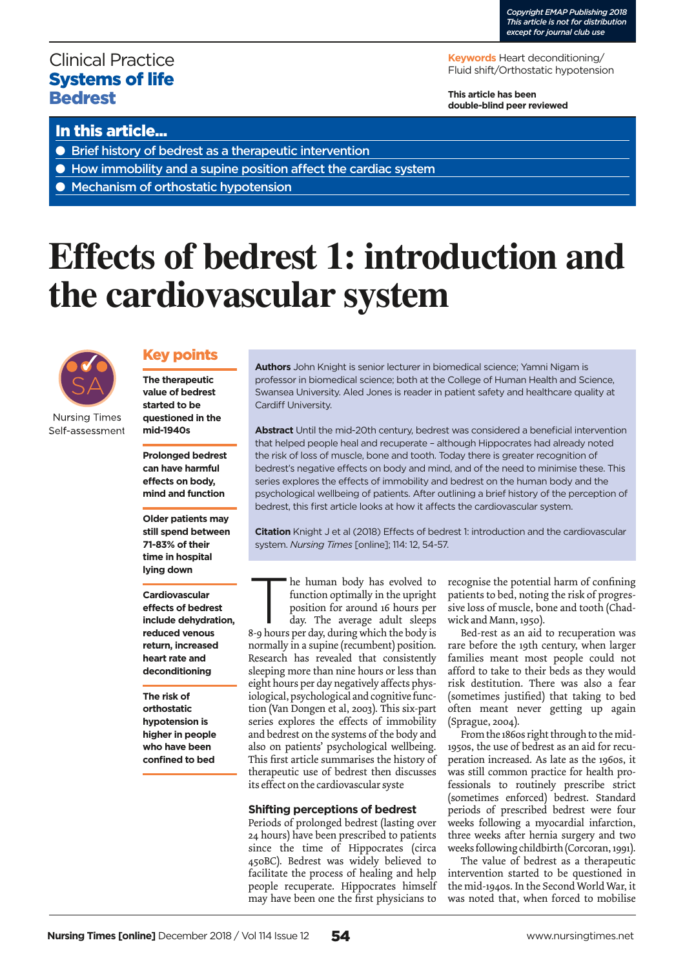# Clinical Practice Systems of life **Bedrest**

**Keywords** Heart deconditioning/ Fluid shift/Orthostatic hypotension

**This article has been double-blind peer reviewed**

## In this article...

- Brief history of bedrest as a therapeutic intervention
- How immobility and a supine position affect the cardiac system
- Mechanism of orthostatic hypotension

# **Effects of bedrest 1: introduction and the cardiovascular system**



Self-assessment

## Key points

**The therapeutic value of bedrest started to be questioned in the mid-1940s** 

**Prolonged bedrest can have harmful effects on body, mind and function** 

**Older patients may still spend between 71-83% of their time in hospital lying down** 

**Cardiovascular effects of bedrest include dehydration, reduced venous return, increased heart rate and deconditioning** 

**The risk of orthostatic hypotension is higher in people who have been confined to bed** 

**Authors** John Knight is senior lecturer in biomedical science; Yamni Nigam is professor in biomedical science; both at the College of Human Health and Science, Swansea University. Aled Jones is reader in patient safety and healthcare quality at Cardiff University.

**Abstract** Until the mid-20th century, bedrest was considered a beneficial intervention that helped people heal and recuperate – although Hippocrates had already noted the risk of loss of muscle, bone and tooth. Today there is greater recognition of bedrest's negative effects on body and mind, and of the need to minimise these. This series explores the effects of immobility and bedrest on the human body and the psychological wellbeing of patients. After outlining a brief history of the perception of bedrest, this first article looks at how it affects the cardiovascular system.

**Citation** Knight J et al (2018) Effects of bedrest 1: introduction and the cardiovascular system. *Nursing Times* [online]; 114: 12, 54-57.

The human body has evolved to<br>function optimally in the upright<br>position for around 16 hours per<br>day. The average adult sleeps<br>8-0 hours per day. during which the body is function optimally in the upright position for around 16 hours per day. The average adult sleeps

8-9 hours per day, during which the body is normally in a supine (recumbent) position. Research has revealed that consistently sleeping more than nine hours or less than eight hours per day negatively affects physiological, psychological and cognitive function (Van Dongen et al, 2003). This six-part series explores the effects of immobility and bedrest on the systems of the body and also on patients' psychological wellbeing. This first article summarises the history of therapeutic use of bedrest then discusses its effect on the cardiovascular syste

### **Shifting perceptions of bedrest**

Periods of prolonged bedrest (lasting over 24 hours) have been prescribed to patients since the time of Hippocrates (circa 450BC). Bedrest was widely believed to facilitate the process of healing and help people recuperate. Hippocrates himself may have been one the first physicians to

recognise the potential harm of confining patients to bed, noting the risk of progressive loss of muscle, bone and tooth (Chadwick and Mann, 1950).

Bed-rest as an aid to recuperation was rare before the 19th century, when larger families meant most people could not afford to take to their beds as they would risk destitution. There was also a fear (sometimes justified) that taking to bed often meant never getting up again (Sprague, 2004).

From the 1860s right through to the mid-1950s, the use of bedrest as an aid for recuperation increased. As late as the 1960s, it was still common practice for health professionals to routinely prescribe strict (sometimes enforced) bedrest. Standard periods of prescribed bedrest were four weeks following a myocardial infarction, three weeks after hernia surgery and two weeks following childbirth (Corcoran, 1991).

The value of bedrest as a therapeutic intervention started to be questioned in the mid-1940s. In the Second World War, it was noted that, when forced to mobilise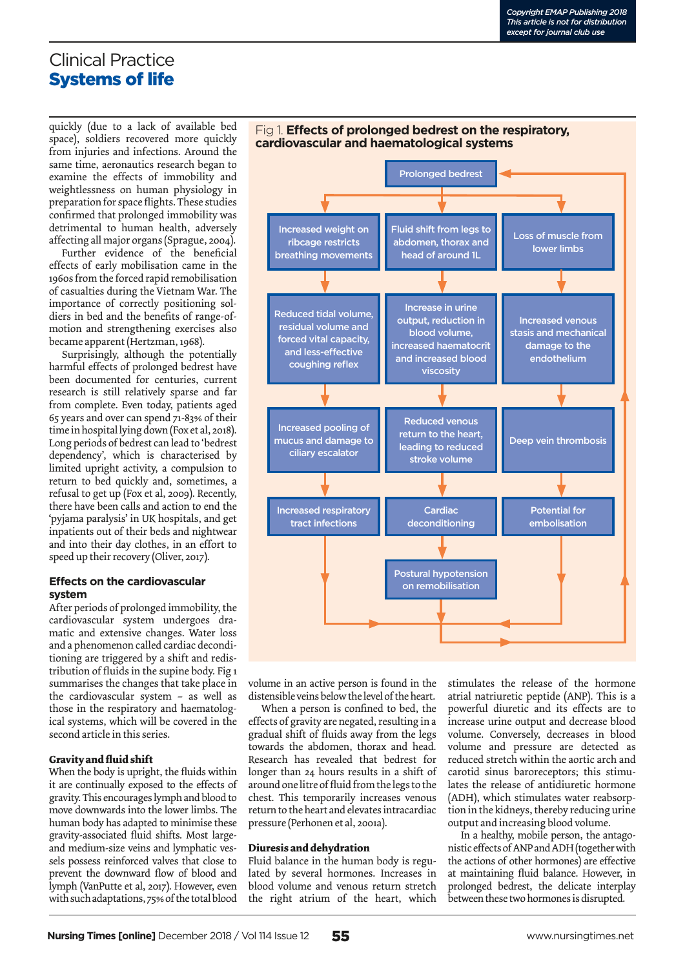# Clinical Practice Systems of life

quickly (due to a lack of available bed space), soldiers recovered more quickly from injuries and infections. Around the same time, aeronautics research began to examine the effects of immobility and weightlessness on human physiology in preparation for space flights. These studies confirmed that prolonged immobility was detrimental to human health, adversely affecting all major organs (Sprague, 2004).

Further evidence of the beneficial effects of early mobilisation came in the 1960s from the forced rapid remobilisation of casualties during the Vietnam War. The importance of correctly positioning soldiers in bed and the benefits of range-ofmotion and strengthening exercises also became apparent (Hertzman, 1968).

Surprisingly, although the potentially harmful effects of prolonged bedrest have been documented for centuries, current research is still relatively sparse and far from complete. Even today, patients aged 65 years and over can spend 71-83% of their time in hospital lying down (Fox et al, 2018). Long periods of bedrest can lead to 'bedrest dependency', which is characterised by limited upright activity, a compulsion to return to bed quickly and, sometimes, a refusal to get up (Fox et al, 2009). Recently, there have been calls and action to end the 'pyjama paralysis' in UK hospitals, and get inpatients out of their beds and nightwear and into their day clothes, in an effort to speed up their recovery (Oliver, 2017).

## **Effects on the cardiovascular system**

After periods of prolonged immobility, the cardiovascular system undergoes dramatic and extensive changes. Water loss and a phenomenon called cardiac deconditioning are triggered by a shift and redistribution of fluids in the supine body. Fig 1 summarises the changes that take place in the cardiovascular system – as well as those in the respiratory and haematological systems, which will be covered in the second article in this series.

## **Gravity and fluid shift**

When the body is upright, the fluids within it are continually exposed to the effects of gravity. This encourages lymph and blood to move downwards into the lower limbs. The human body has adapted to minimise these gravity-associated fluid shifts. Most largeand medium-size veins and lymphatic vessels possess reinforced valves that close to prevent the downward flow of blood and lymph (VanPutte et al, 2017). However, even with such adaptations, 75% of the total blood



volume in an active person is found in the distensible veins below the level of the heart.

When a person is confined to bed, the effects of gravity are negated, resulting in a gradual shift of fluids away from the legs towards the abdomen, thorax and head. Research has revealed that bedrest for longer than 24 hours results in a shift of around one litre of fluid from the legs to the chest. This temporarily increases venous return to the heart and elevates intracardiac pressure (Perhonen et al, 2001a).

### **Diuresis and dehydration**

Fluid balance in the human body is regulated by several hormones. Increases in blood volume and venous return stretch the right atrium of the heart, which

stimulates the release of the hormone atrial natriuretic peptide (ANP). This is a powerful diuretic and its effects are to increase urine output and decrease blood volume. Conversely, decreases in blood volume and pressure are detected as reduced stretch within the aortic arch and carotid sinus baroreceptors; this stimulates the release of antidiuretic hormone (ADH), which stimulates water reabsorption in the kidneys, thereby reducing urine output and increasing blood volume.

In a healthy, mobile person, the antagonistic effects of ANP and ADH (together with the actions of other hormones) are effective at maintaining fluid balance. However, in prolonged bedrest, the delicate interplay between these two hormones is disrupted.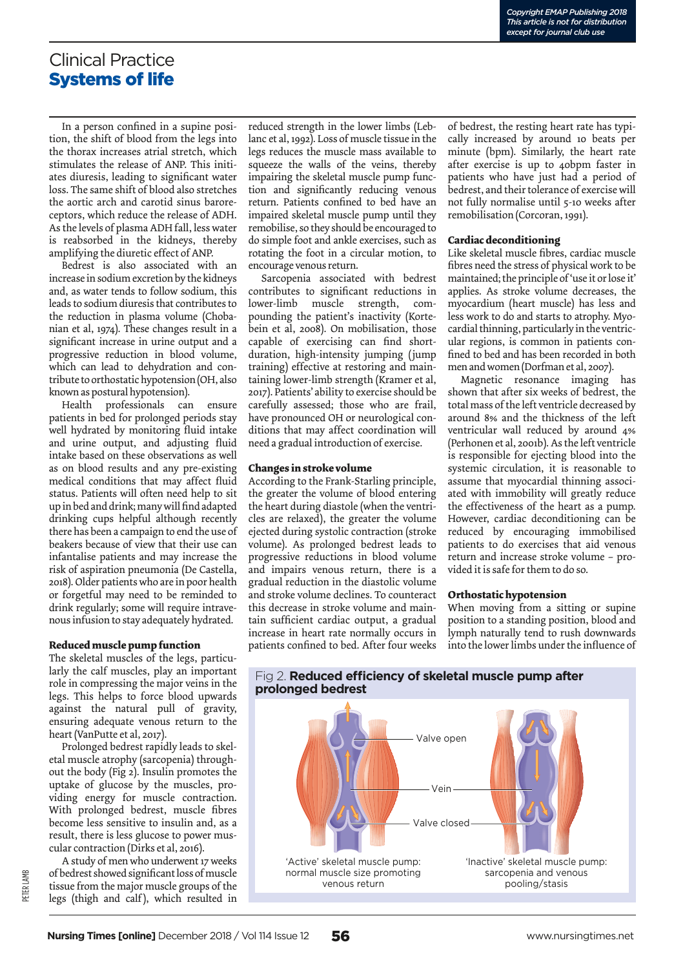## Clinical Practice Systems of life

In a person confined in a supine position, the shift of blood from the legs into the thorax increases atrial stretch, which stimulates the release of ANP. This initiates diuresis, leading to significant water loss. The same shift of blood also stretches the aortic arch and carotid sinus baroreceptors, which reduce the release of ADH. As the levels of plasma ADH fall, less water is reabsorbed in the kidneys, thereby amplifying the diuretic effect of ANP.

Bedrest is also associated with an increase in sodium excretion by the kidneys and, as water tends to follow sodium, this leads to sodium diuresis that contributes to the reduction in plasma volume (Chobanian et al, 1974). These changes result in a significant increase in urine output and a progressive reduction in blood volume, which can lead to dehydration and contribute to orthostatic hypotension (OH, also known as postural hypotension).

Health professionals can ensure patients in bed for prolonged periods stay well hydrated by monitoring fluid intake and urine output, and adjusting fluid intake based on these observations as well as on blood results and any pre-existing medical conditions that may affect fluid status. Patients will often need help to sit up in bed and drink; many will find adapted drinking cups helpful although recently there has been a campaign to end the use of beakers because of view that their use can infantalise patients and may increase the risk of aspiration pneumonia (De Castella, 2018). Older patients who are in poor health or forgetful may need to be reminded to drink regularly; some will require intravenous infusion to stay adequately hydrated.

#### **Reduced muscle pump function**

The skeletal muscles of the legs, particularly the calf muscles, play an important role in compressing the major veins in the legs. This helps to force blood upwards against the natural pull of gravity, ensuring adequate venous return to the heart (VanPutte et al, 2017).

Prolonged bedrest rapidly leads to skeletal muscle atrophy (sarcopenia) throughout the body (Fig 2). Insulin promotes the uptake of glucose by the muscles, providing energy for muscle contraction. With prolonged bedrest, muscle fibres become less sensitive to insulin and, as a result, there is less glucose to power muscular contraction (Dirks et al, 2016).

A study of men who underwent 17 weeks of bedrest showed significant loss of muscle tissue from the major muscle groups of the legs (thigh and calf), which resulted in

reduced strength in the lower limbs (Leblanc et al, 1992). Loss of muscle tissue in the legs reduces the muscle mass available to squeeze the walls of the veins, thereby impairing the skeletal muscle pump function and significantly reducing venous return. Patients confined to bed have an impaired skeletal muscle pump until they remobilise, so they should be encouraged to do simple foot and ankle exercises, such as rotating the foot in a circular motion, to encourage venous return.

Sarcopenia associated with bedrest contributes to significant reductions in lower-limb muscle strength, compounding the patient's inactivity (Kortebein et al, 2008). On mobilisation, those capable of exercising can find shortduration, high-intensity jumping (jump training) effective at restoring and maintaining lower-limb strength (Kramer et al, 2017). Patients' ability to exercise should be carefully assessed; those who are frail, have pronounced OH or neurological conditions that may affect coordination will need a gradual introduction of exercise.

#### **Changes in stroke volume**

According to the Frank-Starling principle, the greater the volume of blood entering the heart during diastole (when the ventricles are relaxed), the greater the volume ejected during systolic contraction (stroke volume). As prolonged bedrest leads to progressive reductions in blood volume and impairs venous return, there is a gradual reduction in the diastolic volume and stroke volume declines. To counteract this decrease in stroke volume and maintain sufficient cardiac output, a gradual increase in heart rate normally occurs in patients confined to bed. After four weeks

of bedrest, the resting heart rate has typically increased by around 10 beats per minute (bpm). Similarly, the heart rate after exercise is up to 40bpm faster in patients who have just had a period of bedrest, and their tolerance of exercise will not fully normalise until 5-10 weeks after remobilisation (Corcoran, 1991).

#### **Cardiac deconditioning**

Like skeletal muscle fibres, cardiac muscle fibres need the stress of physical work to be maintained; the principle of 'use it or lose it' applies. As stroke volume decreases, the myocardium (heart muscle) has less and less work to do and starts to atrophy. Myocardial thinning, particularly in the ventricular regions, is common in patients confined to bed and has been recorded in both men and women (Dorfman et al, 2007).

Magnetic resonance imaging has shown that after six weeks of bedrest, the total mass of the left ventricle decreased by around 8% and the thickness of the left ventricular wall reduced by around 4% (Perhonen et al, 2001b). As the left ventricle is responsible for ejecting blood into the systemic circulation, it is reasonable to assume that myocardial thinning associated with immobility will greatly reduce the effectiveness of the heart as a pump. However, cardiac deconditioning can be reduced by encouraging immobilised patients to do exercises that aid venous return and increase stroke volume – provided it is safe for them to do so.

#### **Orthostatic hypotension**

When moving from a sitting or supine position to a standing position, blood and lymph naturally tend to rush downwards into the lower limbs under the influence of



Fig 2. **Reduced efficiency of skeletal muscle pump after prolonged bedrest**

PETER LAMB